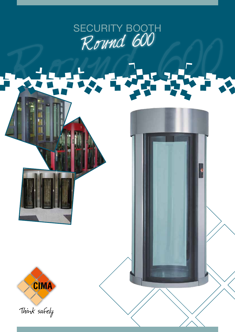